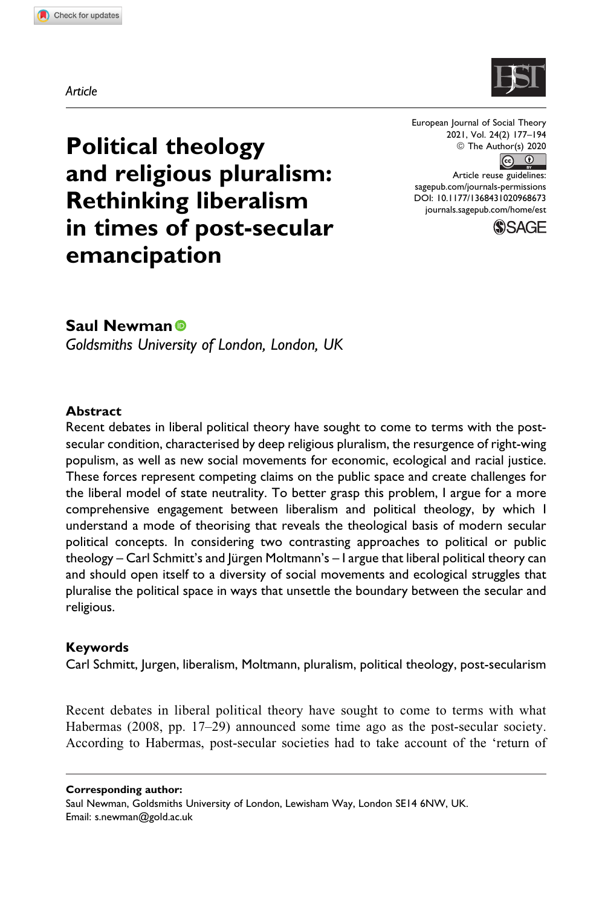

European Journal of Social Theory 2021, Vol. 24(2) 177–194 © The Author(s) 2020  $\boxed{6}$   $\boxed{0}$ Article reuse guidelines: [sagepub.com/journals-permissions](https://sagepub.com/journals-permissions) [DOI: 10.1177/1368431020968673](https://doi.org/10.1177/1368431020968673) [journals.sagepub.com/home/est](http://journals.sagepub.com/home/est)



**Political theology and religious pluralism: Rethinking liberalism in times of post-secular emancipation**

**Saul Newman**

*Goldsmiths University of London, London, UK*

## **Abstract**

Recent debates in liberal political theory have sought to come to terms with the postsecular condition, characterised by deep religious pluralism, the resurgence of right-wing populism, as well as new social movements for economic, ecological and racial justice. These forces represent competing claims on the public space and create challenges for the liberal model of state neutrality. To better grasp this problem, I argue for a more comprehensive engagement between liberalism and political theology, by which I understand a mode of theorising that reveals the theological basis of modern secular political concepts. In considering two contrasting approaches to political or public theology – Carl Schmitt's and Jürgen Moltmann's – I argue that liberal political theory can and should open itself to a diversity of social movements and ecological struggles that pluralise the political space in ways that unsettle the boundary between the secular and religious.

# **Keywords**

Carl Schmitt, Jurgen, liberalism, Moltmann, pluralism, political theology, post-secularism

Recent debates in liberal political theory have sought to come to terms with what [Habermas \(2008,](#page-15-0) pp. 17–29) announced some time ago as the post-secular society. According to Habermas, post-secular societies had to take account of the 'return of

**Corresponding author:**

Saul Newman, Goldsmiths University of London, Lewisham Way, London SE14 6NW, UK. Email: [s.newman@gold.ac.uk](mailto:s.newman@gold.ac.uk)

*Article*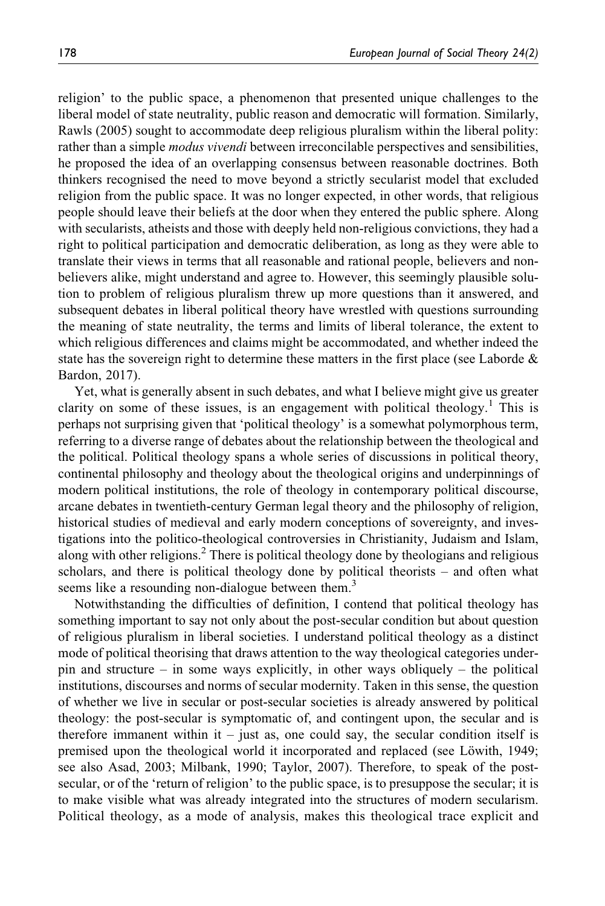religion' to the public space, a phenomenon that presented unique challenges to the liberal model of state neutrality, public reason and democratic will formation. Similarly, [Rawls \(2005\)](#page-17-0) sought to accommodate deep religious pluralism within the liberal polity: rather than a simple modus vivendi between irreconcilable perspectives and sensibilities, he proposed the idea of an overlapping consensus between reasonable doctrines. Both thinkers recognised the need to move beyond a strictly secularist model that excluded religion from the public space. It was no longer expected, in other words, that religious people should leave their beliefs at the door when they entered the public sphere. Along with secularists, atheists and those with deeply held non-religious convictions, they had a right to political participation and democratic deliberation, as long as they were able to translate their views in terms that all reasonable and rational people, believers and nonbelievers alike, might understand and agree to. However, this seemingly plausible solution to problem of religious pluralism threw up more questions than it answered, and subsequent debates in liberal political theory have wrestled with questions surrounding the meaning of state neutrality, the terms and limits of liberal tolerance, the extent to which religious differences and claims might be accommodated, and whether indeed the state has the sovereign right to determine these matters in the first place (see Laborde  $\&$ [Bardon, 2017](#page-16-0)).

Yet, what is generally absent in such debates, and what I believe might give us greater clarity on some of these issues, is an engagement with political theology.<sup>1</sup> This is perhaps not surprising given that 'political theology' is a somewhat polymorphous term, referring to a diverse range of debates about the relationship between the theological and the political. Political theology spans a whole series of discussions in political theory, continental philosophy and theology about the theological origins and underpinnings of modern political institutions, the role of theology in contemporary political discourse, arcane debates in twentieth-century German legal theory and the philosophy of religion, historical studies of medieval and early modern conceptions of sovereignty, and investigations into the politico-theological controversies in Christianity, Judaism and Islam, along with other religions.<sup>2</sup> There is political theology done by theologians and religious scholars, and there is political theology done by political theorists – and often what seems like a resounding non-dialogue between them.<sup>3</sup>

Notwithstanding the difficulties of definition, I contend that political theology has something important to say not only about the post-secular condition but about question of religious pluralism in liberal societies. I understand political theology as a distinct mode of political theorising that draws attention to the way theological categories underpin and structure – in some ways explicitly, in other ways obliquely – the political institutions, discourses and norms of secular modernity. Taken in this sense, the question of whether we live in secular or post-secular societies is already answered by political theology: the post-secular is symptomatic of, and contingent upon, the secular and is therefore immanent within it – just as, one could say, the secular condition itself is premised upon the theological world it incorporated and replaced (see Löwith, 1949; see also [Asad, 2003;](#page-15-0) [Milbank, 1990;](#page-16-0) [Taylor, 2007](#page-17-0)). Therefore, to speak of the postsecular, or of the 'return of religion' to the public space, is to presuppose the secular; it is to make visible what was already integrated into the structures of modern secularism. Political theology, as a mode of analysis, makes this theological trace explicit and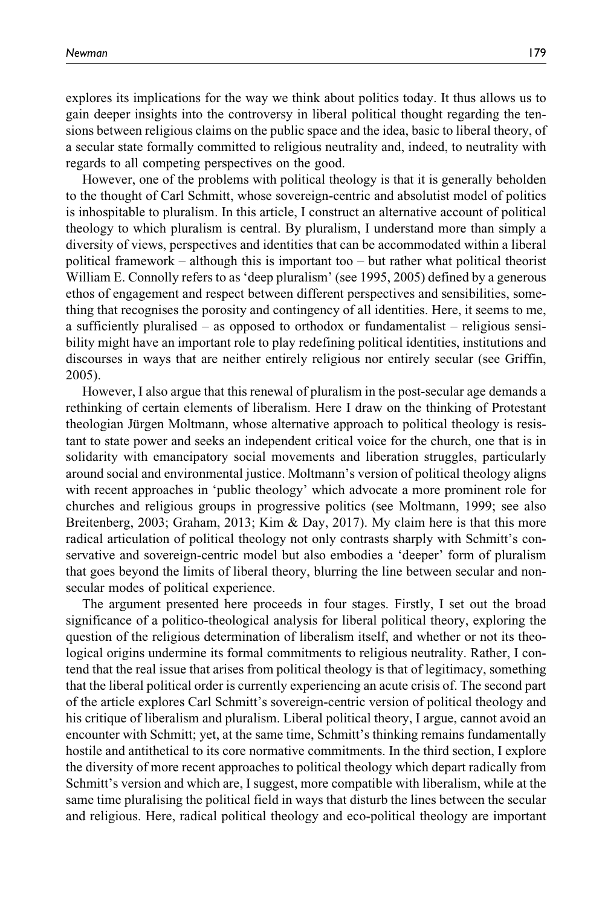explores its implications for the way we think about politics today. It thus allows us to gain deeper insights into the controversy in liberal political thought regarding the tensions between religious claims on the public space and the idea, basic to liberal theory, of a secular state formally committed to religious neutrality and, indeed, to neutrality with regards to all competing perspectives on the good.

However, one of the problems with political theology is that it is generally beholden to the thought of Carl Schmitt, whose sovereign-centric and absolutist model of politics is inhospitable to pluralism. In this article, I construct an alternative account of political theology to which pluralism is central. By pluralism, I understand more than simply a diversity of views, perspectives and identities that can be accommodated within a liberal political framework – although this is important too – but rather what political theorist William E. Connolly refers to as 'deep pluralism' (see [1995](#page-15-0), [2005\)](#page-15-0) defined by a generous ethos of engagement and respect between different perspectives and sensibilities, something that recognises the porosity and contingency of all identities. Here, it seems to me, a sufficiently pluralised – as opposed to orthodox or fundamentalist – religious sensibility might have an important role to play redefining political identities, institutions and discourses in ways that are neither entirely religious nor entirely secular (see [Griffin,](#page-15-0) [2005](#page-15-0)).

However, I also argue that this renewal of pluralism in the post-secular age demands a rethinking of certain elements of liberalism. Here I draw on the thinking of Protestant theologian Jürgen Moltmann, whose alternative approach to political theology is resistant to state power and seeks an independent critical voice for the church, one that is in solidarity with emancipatory social movements and liberation struggles, particularly around social and environmental justice. Moltmann's version of political theology aligns with recent approaches in 'public theology' which advocate a more prominent role for churches and religious groups in progressive politics (see [Moltmann, 1999](#page-16-0); see also [Breitenberg, 2003; Graham, 2013](#page-15-0); [Kim & Day, 2017](#page-16-0)). My claim here is that this more radical articulation of political theology not only contrasts sharply with Schmitt's conservative and sovereign-centric model but also embodies a 'deeper' form of pluralism that goes beyond the limits of liberal theory, blurring the line between secular and nonsecular modes of political experience.

The argument presented here proceeds in four stages. Firstly, I set out the broad significance of a politico-theological analysis for liberal political theory, exploring the question of the religious determination of liberalism itself, and whether or not its theological origins undermine its formal commitments to religious neutrality. Rather, I contend that the real issue that arises from political theology is that of legitimacy, something that the liberal political order is currently experiencing an acute crisis of. The second part of the article explores Carl Schmitt's sovereign-centric version of political theology and his critique of liberalism and pluralism. Liberal political theory, I argue, cannot avoid an encounter with Schmitt; yet, at the same time, Schmitt's thinking remains fundamentally hostile and antithetical to its core normative commitments. In the third section, I explore the diversity of more recent approaches to political theology which depart radically from Schmitt's version and which are, I suggest, more compatible with liberalism, while at the same time pluralising the political field in ways that disturb the lines between the secular and religious. Here, radical political theology and eco-political theology are important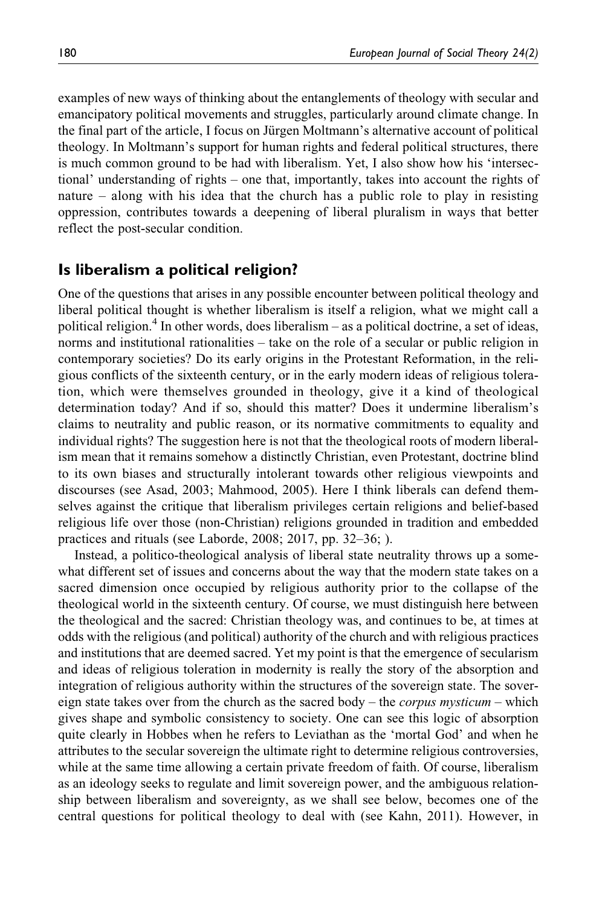examples of new ways of thinking about the entanglements of theology with secular and emancipatory political movements and struggles, particularly around climate change. In the final part of the article, I focus on Jürgen Moltmann's alternative account of political theology. In Moltmann's support for human rights and federal political structures, there is much common ground to be had with liberalism. Yet, I also show how his 'intersectional' understanding of rights – one that, importantly, takes into account the rights of nature – along with his idea that the church has a public role to play in resisting oppression, contributes towards a deepening of liberal pluralism in ways that better reflect the post-secular condition.

# **Is liberalism a political religion?**

One of the questions that arises in any possible encounter between political theology and liberal political thought is whether liberalism is itself a religion, what we might call a political religion.<sup>[4](#page-14-0)</sup> In other words, does liberalism – as a political doctrine, a set of ideas, norms and institutional rationalities – take on the role of a secular or public religion in contemporary societies? Do its early origins in the Protestant Reformation, in the religious conflicts of the sixteenth century, or in the early modern ideas of religious toleration, which were themselves grounded in theology, give it a kind of theological determination today? And if so, should this matter? Does it undermine liberalism's claims to neutrality and public reason, or its normative commitments to equality and individual rights? The suggestion here is not that the theological roots of modern liberalism mean that it remains somehow a distinctly Christian, even Protestant, doctrine blind to its own biases and structurally intolerant towards other religious viewpoints and discourses (see [Asad, 2003](#page-15-0); [Mahmood, 2005\)](#page-16-0). Here I think liberals can defend themselves against the critique that liberalism privileges certain religions and belief-based religious life over those (non-Christian) religions grounded in tradition and embedded practices and rituals (see [Laborde, 2008](#page-16-0); [2017](#page-16-0), pp. 32–36; ).

Instead, a politico-theological analysis of liberal state neutrality throws up a somewhat different set of issues and concerns about the way that the modern state takes on a sacred dimension once occupied by religious authority prior to the collapse of the theological world in the sixteenth century. Of course, we must distinguish here between the theological and the sacred: Christian theology was, and continues to be, at times at odds with the religious (and political) authority of the church and with religious practices and institutions that are deemed sacred. Yet my point is that the emergence of secularism and ideas of religious toleration in modernity is really the story of the absorption and integration of religious authority within the structures of the sovereign state. The sovereign state takes over from the church as the sacred body – the *corpus mysticum* – which gives shape and symbolic consistency to society. One can see this logic of absorption quite clearly in Hobbes when he refers to Leviathan as the 'mortal God' and when he attributes to the secular sovereign the ultimate right to determine religious controversies, while at the same time allowing a certain private freedom of faith. Of course, liberalism as an ideology seeks to regulate and limit sovereign power, and the ambiguous relationship between liberalism and sovereignty, as we shall see below, becomes one of the central questions for political theology to deal with (see [Kahn, 2011\)](#page-16-0). However, in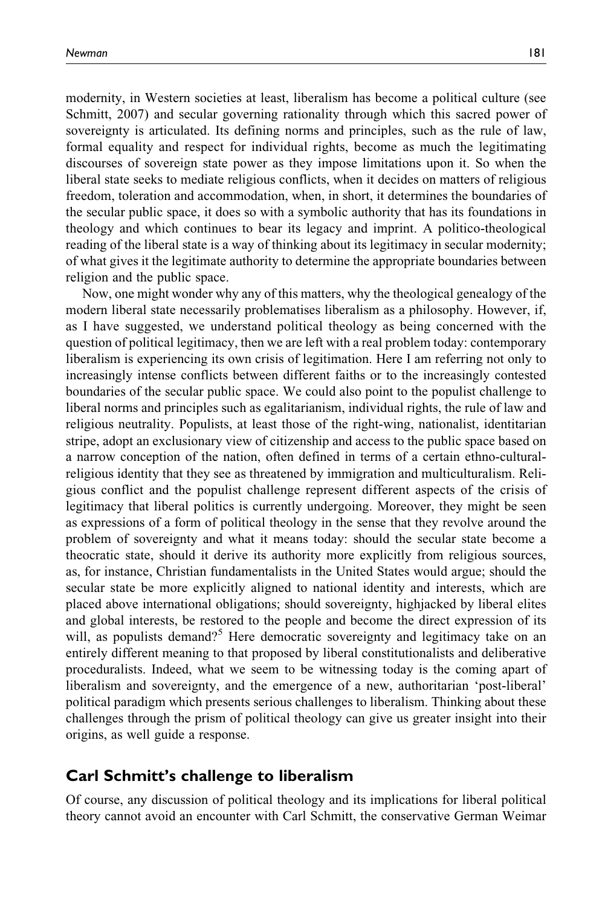modernity, in Western societies at least, liberalism has become a political culture (see [Schmitt, 2007\)](#page-17-0) and secular governing rationality through which this sacred power of sovereignty is articulated. Its defining norms and principles, such as the rule of law, formal equality and respect for individual rights, become as much the legitimating discourses of sovereign state power as they impose limitations upon it. So when the liberal state seeks to mediate religious conflicts, when it decides on matters of religious freedom, toleration and accommodation, when, in short, it determines the boundaries of the secular public space, it does so with a symbolic authority that has its foundations in theology and which continues to bear its legacy and imprint. A politico-theological reading of the liberal state is a way of thinking about its legitimacy in secular modernity; of what gives it the legitimate authority to determine the appropriate boundaries between religion and the public space.

Now, one might wonder why any of this matters, why the theological genealogy of the modern liberal state necessarily problematises liberalism as a philosophy. However, if, as I have suggested, we understand political theology as being concerned with the question of political legitimacy, then we are left with a real problem today: contemporary liberalism is experiencing its own crisis of legitimation. Here I am referring not only to increasingly intense conflicts between different faiths or to the increasingly contested boundaries of the secular public space. We could also point to the populist challenge to liberal norms and principles such as egalitarianism, individual rights, the rule of law and religious neutrality. Populists, at least those of the right-wing, nationalist, identitarian stripe, adopt an exclusionary view of citizenship and access to the public space based on a narrow conception of the nation, often defined in terms of a certain ethno-culturalreligious identity that they see as threatened by immigration and multiculturalism. Religious conflict and the populist challenge represent different aspects of the crisis of legitimacy that liberal politics is currently undergoing. Moreover, they might be seen as expressions of a form of political theology in the sense that they revolve around the problem of sovereignty and what it means today: should the secular state become a theocratic state, should it derive its authority more explicitly from religious sources, as, for instance, Christian fundamentalists in the United States would argue; should the secular state be more explicitly aligned to national identity and interests, which are placed above international obligations; should sovereignty, highjacked by liberal elites and global interests, be restored to the people and become the direct expression of its will, as populists demand?<sup>[5](#page-14-0)</sup> Here democratic sovereignty and legitimacy take on an entirely different meaning to that proposed by liberal constitutionalists and deliberative proceduralists. Indeed, what we seem to be witnessing today is the coming apart of liberalism and sovereignty, and the emergence of a new, authoritarian 'post-liberal' political paradigm which presents serious challenges to liberalism. Thinking about these challenges through the prism of political theology can give us greater insight into their origins, as well guide a response.

### **Carl Schmitt's challenge to liberalism**

Of course, any discussion of political theology and its implications for liberal political theory cannot avoid an encounter with Carl Schmitt, the conservative German Weimar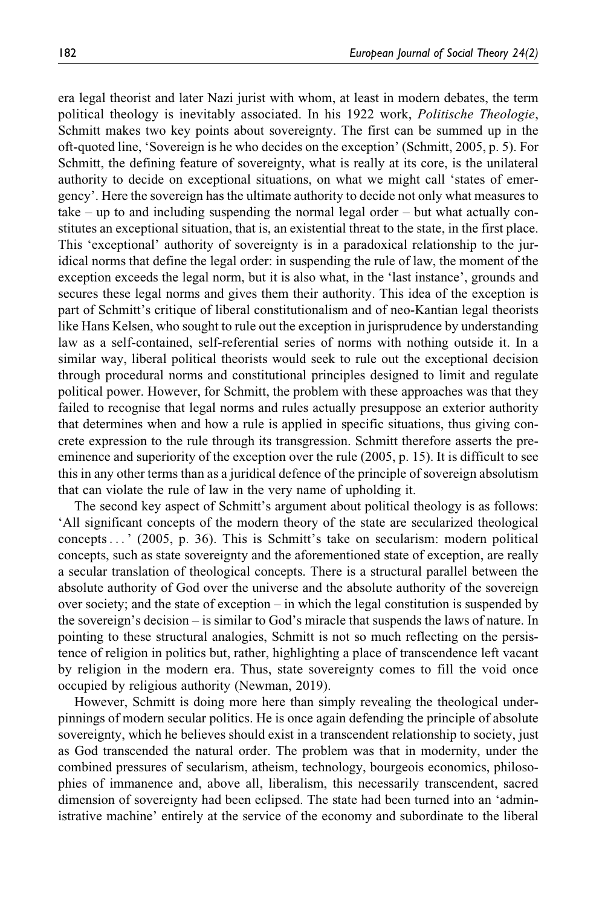era legal theorist and later Nazi jurist with whom, at least in modern debates, the term political theology is inevitably associated. In his 1922 work, Politische Theologie, Schmitt makes two key points about sovereignty. The first can be summed up in the oft-quoted line, 'Sovereign is he who decides on the exception' [\(Schmitt, 2005](#page-17-0), p. 5). For Schmitt, the defining feature of sovereignty, what is really at its core, is the unilateral authority to decide on exceptional situations, on what we might call 'states of emergency'. Here the sovereign has the ultimate authority to decide not only what measures to take – up to and including suspending the normal legal order – but what actually constitutes an exceptional situation, that is, an existential threat to the state, in the first place. This 'exceptional' authority of sovereignty is in a paradoxical relationship to the juridical norms that define the legal order: in suspending the rule of law, the moment of the exception exceeds the legal norm, but it is also what, in the 'last instance', grounds and secures these legal norms and gives them their authority. This idea of the exception is part of Schmitt's critique of liberal constitutionalism and of neo-Kantian legal theorists like Hans Kelsen, who sought to rule out the exception in jurisprudence by understanding law as a self-contained, self-referential series of norms with nothing outside it. In a similar way, liberal political theorists would seek to rule out the exceptional decision through procedural norms and constitutional principles designed to limit and regulate political power. However, for Schmitt, the problem with these approaches was that they failed to recognise that legal norms and rules actually presuppose an exterior authority that determines when and how a rule is applied in specific situations, thus giving concrete expression to the rule through its transgression. Schmitt therefore asserts the preeminence and superiority of the exception over the rule [\(2005](#page-17-0), p. 15). It is difficult to see this in any other terms than as a juridical defence of the principle of sovereign absolutism that can violate the rule of law in the very name of upholding it.

The second key aspect of Schmitt's argument about political theology is as follows: 'All significant concepts of the modern theory of the state are secularized theological concepts... ' ([2005](#page-17-0), p. 36). This is Schmitt's take on secularism: modern political concepts, such as state sovereignty and the aforementioned state of exception, are really a secular translation of theological concepts. There is a structural parallel between the absolute authority of God over the universe and the absolute authority of the sovereign over society; and the state of exception – in which the legal constitution is suspended by the sovereign's decision – is similar to God's miracle that suspends the laws of nature. In pointing to these structural analogies, Schmitt is not so much reflecting on the persistence of religion in politics but, rather, highlighting a place of transcendence left vacant by religion in the modern era. Thus, state sovereignty comes to fill the void once occupied by religious authority ([Newman, 2019](#page-16-0)).

However, Schmitt is doing more here than simply revealing the theological underpinnings of modern secular politics. He is once again defending the principle of absolute sovereignty, which he believes should exist in a transcendent relationship to society, just as God transcended the natural order. The problem was that in modernity, under the combined pressures of secularism, atheism, technology, bourgeois economics, philosophies of immanence and, above all, liberalism, this necessarily transcendent, sacred dimension of sovereignty had been eclipsed. The state had been turned into an 'administrative machine' entirely at the service of the economy and subordinate to the liberal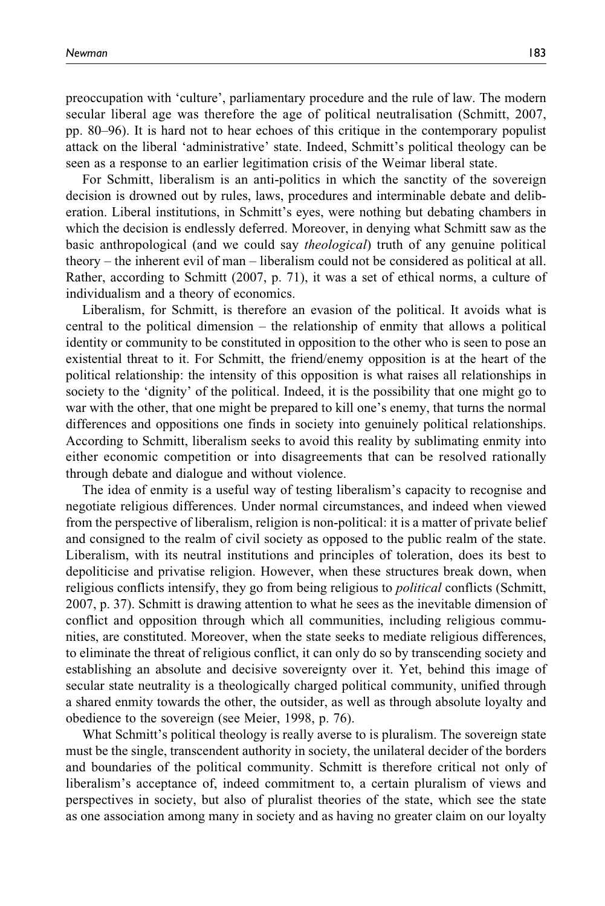preoccupation with 'culture', parliamentary procedure and the rule of law. The modern

secular liberal age was therefore the age of political neutralisation ([Schmitt, 2007](#page-17-0), pp. 80–96). It is hard not to hear echoes of this critique in the contemporary populist attack on the liberal 'administrative' state. Indeed, Schmitt's political theology can be seen as a response to an earlier legitimation crisis of the Weimar liberal state.

For Schmitt, liberalism is an anti-politics in which the sanctity of the sovereign decision is drowned out by rules, laws, procedures and interminable debate and deliberation. Liberal institutions, in Schmitt's eyes, were nothing but debating chambers in which the decision is endlessly deferred. Moreover, in denying what Schmitt saw as the basic anthropological (and we could say theological) truth of any genuine political theory – the inherent evil of man – liberalism could not be considered as political at all. Rather, according to [Schmitt \(2007,](#page-17-0) p. 71), it was a set of ethical norms, a culture of individualism and a theory of economics.

Liberalism, for Schmitt, is therefore an evasion of the political. It avoids what is central to the political dimension – the relationship of enmity that allows a political identity or community to be constituted in opposition to the other who is seen to pose an existential threat to it. For Schmitt, the friend/enemy opposition is at the heart of the political relationship: the intensity of this opposition is what raises all relationships in society to the 'dignity' of the political. Indeed, it is the possibility that one might go to war with the other, that one might be prepared to kill one's enemy, that turns the normal differences and oppositions one finds in society into genuinely political relationships. According to Schmitt, liberalism seeks to avoid this reality by sublimating enmity into either economic competition or into disagreements that can be resolved rationally through debate and dialogue and without violence.

The idea of enmity is a useful way of testing liberalism's capacity to recognise and negotiate religious differences. Under normal circumstances, and indeed when viewed from the perspective of liberalism, religion is non-political: it is a matter of private belief and consigned to the realm of civil society as opposed to the public realm of the state. Liberalism, with its neutral institutions and principles of toleration, does its best to depoliticise and privatise religion. However, when these structures break down, when religious conflicts intensify, they go from being religious to political conflicts [\(Schmitt,](#page-17-0) [2007](#page-17-0), p. 37). Schmitt is drawing attention to what he sees as the inevitable dimension of conflict and opposition through which all communities, including religious communities, are constituted. Moreover, when the state seeks to mediate religious differences, to eliminate the threat of religious conflict, it can only do so by transcending society and establishing an absolute and decisive sovereignty over it. Yet, behind this image of secular state neutrality is a theologically charged political community, unified through a shared enmity towards the other, the outsider, as well as through absolute loyalty and obedience to the sovereign (see [Meier, 1998,](#page-16-0) p. 76).

What Schmitt's political theology is really averse to is pluralism. The sovereign state must be the single, transcendent authority in society, the unilateral decider of the borders and boundaries of the political community. Schmitt is therefore critical not only of liberalism's acceptance of, indeed commitment to, a certain pluralism of views and perspectives in society, but also of pluralist theories of the state, which see the state as one association among many in society and as having no greater claim on our loyalty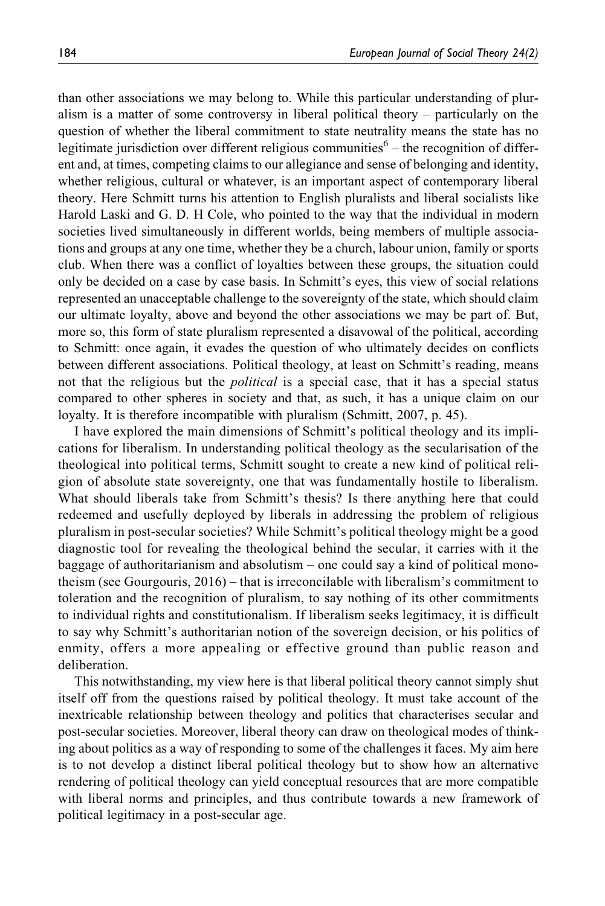than other associations we may belong to. While this particular understanding of pluralism is a matter of some controversy in liberal political theory – particularly on the question of whether the liberal commitment to state neutrality means the state has no legitimate jurisdiction over different religious communities<sup>[6](#page-15-0)</sup> – the recognition of different and, at times, competing claims to our allegiance and sense of belonging and identity, whether religious, cultural or whatever, is an important aspect of contemporary liberal theory. Here Schmitt turns his attention to English pluralists and liberal socialists like Harold Laski and G. D. H Cole, who pointed to the way that the individual in modern societies lived simultaneously in different worlds, being members of multiple associations and groups at any one time, whether they be a church, labour union, family or sports club. When there was a conflict of loyalties between these groups, the situation could only be decided on a case by case basis. In Schmitt's eyes, this view of social relations represented an unacceptable challenge to the sovereignty of the state, which should claim our ultimate loyalty, above and beyond the other associations we may be part of. But, more so, this form of state pluralism represented a disavowal of the political, according to Schmitt: once again, it evades the question of who ultimately decides on conflicts between different associations. Political theology, at least on Schmitt's reading, means not that the religious but the *political* is a special case, that it has a special status compared to other spheres in society and that, as such, it has a unique claim on our loyalty. It is therefore incompatible with pluralism ([Schmitt, 2007](#page-17-0), p. 45).

I have explored the main dimensions of Schmitt's political theology and its implications for liberalism. In understanding political theology as the secularisation of the theological into political terms, Schmitt sought to create a new kind of political religion of absolute state sovereignty, one that was fundamentally hostile to liberalism. What should liberals take from Schmitt's thesis? Is there anything here that could redeemed and usefully deployed by liberals in addressing the problem of religious pluralism in post-secular societies? While Schmitt's political theology might be a good diagnostic tool for revealing the theological behind the secular, it carries with it the baggage of authoritarianism and absolutism – one could say a kind of political monotheism (see [Gourgouris, 2016](#page-15-0)) – that is irreconcilable with liberalism's commitment to toleration and the recognition of pluralism, to say nothing of its other commitments to individual rights and constitutionalism. If liberalism seeks legitimacy, it is difficult to say why Schmitt's authoritarian notion of the sovereign decision, or his politics of enmity, offers a more appealing or effective ground than public reason and deliberation.

This notwithstanding, my view here is that liberal political theory cannot simply shut itself off from the questions raised by political theology. It must take account of the inextricable relationship between theology and politics that characterises secular and post-secular societies. Moreover, liberal theory can draw on theological modes of thinking about politics as a way of responding to some of the challenges it faces. My aim here is to not develop a distinct liberal political theology but to show how an alternative rendering of political theology can yield conceptual resources that are more compatible with liberal norms and principles, and thus contribute towards a new framework of political legitimacy in a post-secular age.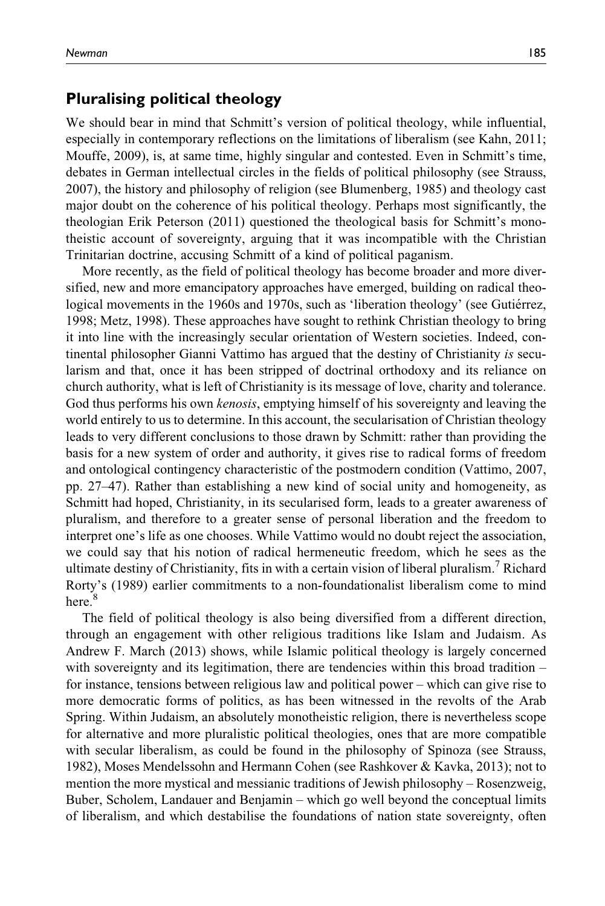### **Pluralising political theology**

We should bear in mind that Schmitt's version of political theology, while influential, especially in contemporary reflections on the limitations of liberalism (see [Kahn, 2011;](#page-16-0) [Mouffe, 2009](#page-16-0)), is, at same time, highly singular and contested. Even in Schmitt's time, debates in German intellectual circles in the fields of political philosophy (see [Strauss,](#page-17-0) [2007](#page-17-0)), the history and philosophy of religion (see [Blumenberg, 1985\)](#page-15-0) and theology cast major doubt on the coherence of his political theology. Perhaps most significantly, the theologian Erik [Peterson \(2011\)](#page-16-0) questioned the theological basis for Schmitt's monotheistic account of sovereignty, arguing that it was incompatible with the Christian Trinitarian doctrine, accusing Schmitt of a kind of political paganism.

More recently, as the field of political theology has become broader and more diversified, new and more emancipatory approaches have emerged, building on radical theo-logical movements in the 1960s and 1970s, such as 'liberation theology' (see [Guti](#page-15-0)é[rrez,](#page-15-0) [1998](#page-15-0); [Metz, 1998\)](#page-16-0). These approaches have sought to rethink Christian theology to bring it into line with the increasingly secular orientation of Western societies. Indeed, continental philosopher Gianni Vattimo has argued that the destiny of Christianity is secularism and that, once it has been stripped of doctrinal orthodoxy and its reliance on church authority, what is left of Christianity is its message of love, charity and tolerance. God thus performs his own kenosis, emptying himself of his sovereignty and leaving the world entirely to us to determine. In this account, the secularisation of Christian theology leads to very different conclusions to those drawn by Schmitt: rather than providing the basis for a new system of order and authority, it gives rise to radical forms of freedom and ontological contingency characteristic of the postmodern condition [\(Vattimo, 2007](#page-17-0), pp. 27–47). Rather than establishing a new kind of social unity and homogeneity, as Schmitt had hoped, Christianity, in its secularised form, leads to a greater awareness of pluralism, and therefore to a greater sense of personal liberation and the freedom to interpret one's life as one chooses. While Vattimo would no doubt reject the association, we could say that his notion of radical hermeneutic freedom, which he sees as the ultimate destiny of Christianity, fits in with a certain vision of liberal pluralism.  $\frac{7}{10}$  $\frac{7}{10}$  $\frac{7}{10}$  Richard [Rorty's \(1989\)](#page-17-0) earlier commitments to a non-foundationalist liberalism come to mind here $8$ 

The field of political theology is also being diversified from a different direction, through an engagement with other religious traditions like Islam and Judaism. As Andrew F. [March \(2013\)](#page-16-0) shows, while Islamic political theology is largely concerned with sovereignty and its legitimation, there are tendencies within this broad tradition  $$ for instance, tensions between religious law and political power – which can give rise to more democratic forms of politics, as has been witnessed in the revolts of the Arab Spring. Within Judaism, an absolutely monotheistic religion, there is nevertheless scope for alternative and more pluralistic political theologies, ones that are more compatible with secular liberalism, as could be found in the philosophy of Spinoza (see [Strauss,](#page-17-0) [1982](#page-17-0)), Moses Mendelssohn and Hermann Cohen (see [Rashkover & Kavka, 2013](#page-17-0)); not to mention the more mystical and messianic traditions of Jewish philosophy – Rosenzweig, Buber, Scholem, Landauer and Benjamin – which go well beyond the conceptual limits of liberalism, and which destabilise the foundations of nation state sovereignty, often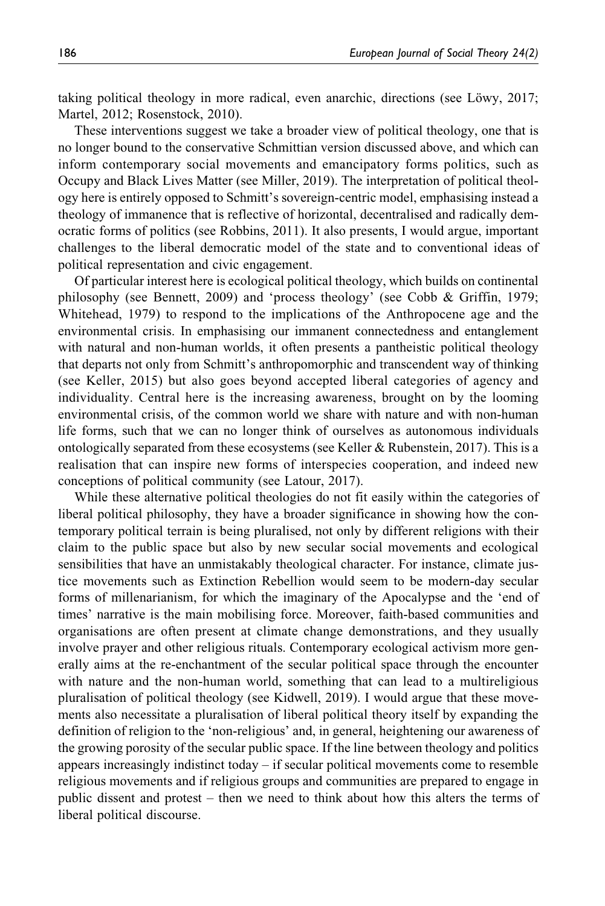taking political theology in more radical, even anarchic, directions (see Löwy, 2017; [Martel, 2012;](#page-16-0) [Rosenstock, 2010\)](#page-17-0).

These interventions suggest we take a broader view of political theology, one that is no longer bound to the conservative Schmittian version discussed above, and which can inform contemporary social movements and emancipatory forms politics, such as Occupy and Black Lives Matter (see [Miller, 2019](#page-16-0)). The interpretation of political theology here is entirely opposed to Schmitt's sovereign-centric model, emphasising instead a theology of immanence that is reflective of horizontal, decentralised and radically democratic forms of politics (see [Robbins, 2011](#page-17-0)). It also presents, I would argue, important challenges to the liberal democratic model of the state and to conventional ideas of political representation and civic engagement.

Of particular interest here is ecological political theology, which builds on continental philosophy (see [Bennett, 2009\)](#page-15-0) and 'process theology' (see [Cobb & Griffin, 1979](#page-15-0); [Whitehead, 1979\)](#page-17-0) to respond to the implications of the Anthropocene age and the environmental crisis. In emphasising our immanent connectedness and entanglement with natural and non-human worlds, it often presents a pantheistic political theology that departs not only from Schmitt's anthropomorphic and transcendent way of thinking (see [Keller, 2015\)](#page-16-0) but also goes beyond accepted liberal categories of agency and individuality. Central here is the increasing awareness, brought on by the looming environmental crisis, of the common world we share with nature and with non-human life forms, such that we can no longer think of ourselves as autonomous individuals ontologically separated from these ecosystems (see [Keller & Rubenstein, 2017](#page-16-0)). This is a realisation that can inspire new forms of interspecies cooperation, and indeed new conceptions of political community (see [Latour, 2017](#page-16-0)).

While these alternative political theologies do not fit easily within the categories of liberal political philosophy, they have a broader significance in showing how the contemporary political terrain is being pluralised, not only by different religions with their claim to the public space but also by new secular social movements and ecological sensibilities that have an unmistakably theological character. For instance, climate justice movements such as Extinction Rebellion would seem to be modern-day secular forms of millenarianism, for which the imaginary of the Apocalypse and the 'end of times' narrative is the main mobilising force. Moreover, faith-based communities and organisations are often present at climate change demonstrations, and they usually involve prayer and other religious rituals. Contemporary ecological activism more generally aims at the re-enchantment of the secular political space through the encounter with nature and the non-human world, something that can lead to a multireligious pluralisation of political theology (see [Kidwell, 2019](#page-16-0)). I would argue that these movements also necessitate a pluralisation of liberal political theory itself by expanding the definition of religion to the 'non-religious' and, in general, heightening our awareness of the growing porosity of the secular public space. If the line between theology and politics appears increasingly indistinct today – if secular political movements come to resemble religious movements and if religious groups and communities are prepared to engage in public dissent and protest – then we need to think about how this alters the terms of liberal political discourse.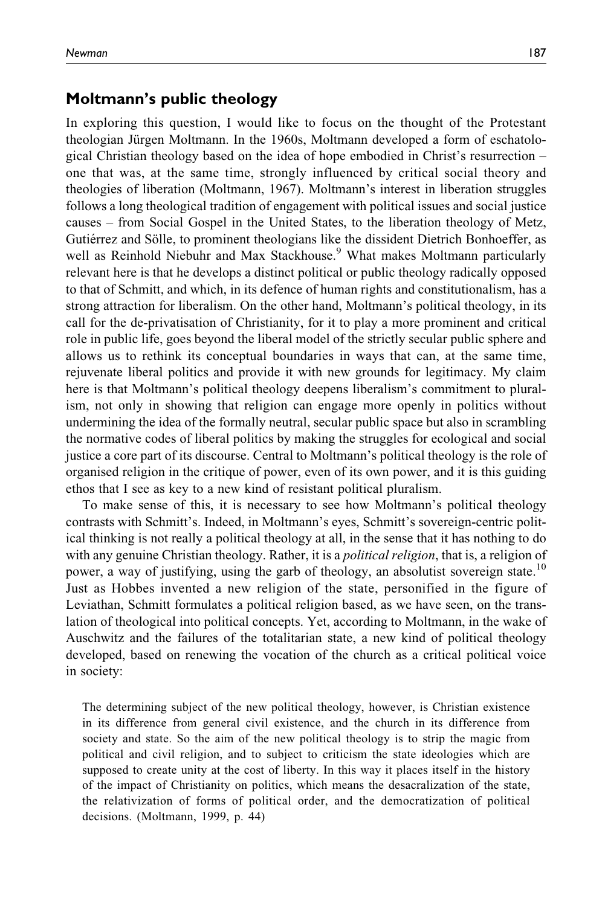### **Moltmann's public theology**

In exploring this question, I would like to focus on the thought of the Protestant theologian Jürgen Moltmann. In the 1960s, Moltmann developed a form of eschatological Christian theology based on the idea of hope embodied in Christ's resurrection – one that was, at the same time, strongly influenced by critical social theory and theologies of liberation [\(Moltmann, 1967\)](#page-16-0). Moltmann's interest in liberation struggles follows a long theological tradition of engagement with political issues and social justice causes – from Social Gospel in the United States, to the liberation theology of Metz, Gutiérrez and Sölle, to prominent theologians like the dissident Dietrich Bonhoeffer, as well as Reinhold Niebuhr and Max Stackhouse.<sup>[9](#page-15-0)</sup> What makes Moltmann particularly relevant here is that he develops a distinct political or public theology radically opposed to that of Schmitt, and which, in its defence of human rights and constitutionalism, has a strong attraction for liberalism. On the other hand, Moltmann's political theology, in its call for the de-privatisation of Christianity, for it to play a more prominent and critical role in public life, goes beyond the liberal model of the strictly secular public sphere and allows us to rethink its conceptual boundaries in ways that can, at the same time, rejuvenate liberal politics and provide it with new grounds for legitimacy. My claim here is that Moltmann's political theology deepens liberalism's commitment to pluralism, not only in showing that religion can engage more openly in politics without undermining the idea of the formally neutral, secular public space but also in scrambling the normative codes of liberal politics by making the struggles for ecological and social justice a core part of its discourse. Central to Moltmann's political theology is the role of organised religion in the critique of power, even of its own power, and it is this guiding ethos that I see as key to a new kind of resistant political pluralism.

To make sense of this, it is necessary to see how Moltmann's political theology contrasts with Schmitt's. Indeed, in Moltmann's eyes, Schmitt's sovereign-centric political thinking is not really a political theology at all, in the sense that it has nothing to do with any genuine Christian theology. Rather, it is a *political religion*, that is, a religion of power, a way of justifying, using the garb of theology, an absolutist sovereign state.<sup>[10](#page-15-0)</sup> Just as Hobbes invented a new religion of the state, personified in the figure of Leviathan, Schmitt formulates a political religion based, as we have seen, on the translation of theological into political concepts. Yet, according to Moltmann, in the wake of Auschwitz and the failures of the totalitarian state, a new kind of political theology developed, based on renewing the vocation of the church as a critical political voice in society:

The determining subject of the new political theology, however, is Christian existence in its difference from general civil existence, and the church in its difference from society and state. So the aim of the new political theology is to strip the magic from political and civil religion, and to subject to criticism the state ideologies which are supposed to create unity at the cost of liberty. In this way it places itself in the history of the impact of Christianity on politics, which means the desacralization of the state, the relativization of forms of political order, and the democratization of political decisions. [\(Moltmann, 1999,](#page-16-0) p. 44)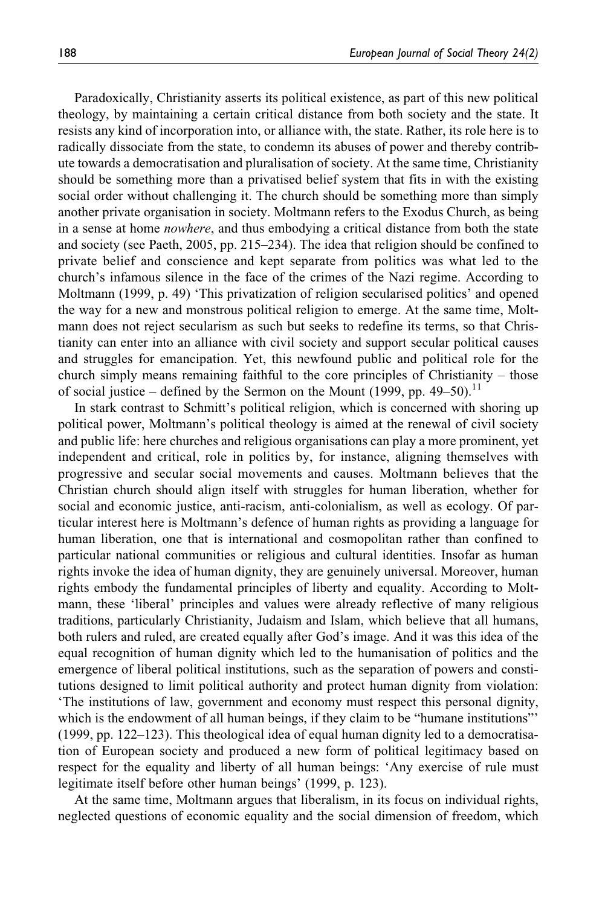Paradoxically, Christianity asserts its political existence, as part of this new political theology, by maintaining a certain critical distance from both society and the state. It resists any kind of incorporation into, or alliance with, the state. Rather, its role here is to radically dissociate from the state, to condemn its abuses of power and thereby contribute towards a democratisation and pluralisation of society. At the same time, Christianity should be something more than a privatised belief system that fits in with the existing social order without challenging it. The church should be something more than simply another private organisation in society. Moltmann refers to the Exodus Church, as being in a sense at home nowhere, and thus embodying a critical distance from both the state and society (see [Paeth, 2005](#page-16-0), pp. 215–234). The idea that religion should be confined to private belief and conscience and kept separate from politics was what led to the church's infamous silence in the face of the crimes of the Nazi regime. According to [Moltmann \(1999](#page-16-0), p. 49) 'This privatization of religion secularised politics' and opened the way for a new and monstrous political religion to emerge. At the same time, Moltmann does not reject secularism as such but seeks to redefine its terms, so that Christianity can enter into an alliance with civil society and support secular political causes and struggles for emancipation. Yet, this newfound public and political role for the church simply means remaining faithful to the core principles of Christianity – those of social justice – defined by the Sermon on the Mount (1999, pp. 49–50).<sup>11</sup>

In stark contrast to Schmitt's political religion, which is concerned with shoring up political power, Moltmann's political theology is aimed at the renewal of civil society and public life: here churches and religious organisations can play a more prominent, yet independent and critical, role in politics by, for instance, aligning themselves with progressive and secular social movements and causes. Moltmann believes that the Christian church should align itself with struggles for human liberation, whether for social and economic justice, anti-racism, anti-colonialism, as well as ecology. Of particular interest here is Moltmann's defence of human rights as providing a language for human liberation, one that is international and cosmopolitan rather than confined to particular national communities or religious and cultural identities. Insofar as human rights invoke the idea of human dignity, they are genuinely universal. Moreover, human rights embody the fundamental principles of liberty and equality. According to Moltmann, these 'liberal' principles and values were already reflective of many religious traditions, particularly Christianity, Judaism and Islam, which believe that all humans, both rulers and ruled, are created equally after God's image. And it was this idea of the equal recognition of human dignity which led to the humanisation of politics and the emergence of liberal political institutions, such as the separation of powers and constitutions designed to limit political authority and protect human dignity from violation: 'The institutions of law, government and economy must respect this personal dignity, which is the endowment of all human beings, if they claim to be "humane institutions" (1999, pp. 122–123). This theological idea of equal human dignity led to a democratisation of European society and produced a new form of political legitimacy based on respect for the equality and liberty of all human beings: 'Any exercise of rule must legitimate itself before other human beings' (1999, p. 123).

At the same time, Moltmann argues that liberalism, in its focus on individual rights, neglected questions of economic equality and the social dimension of freedom, which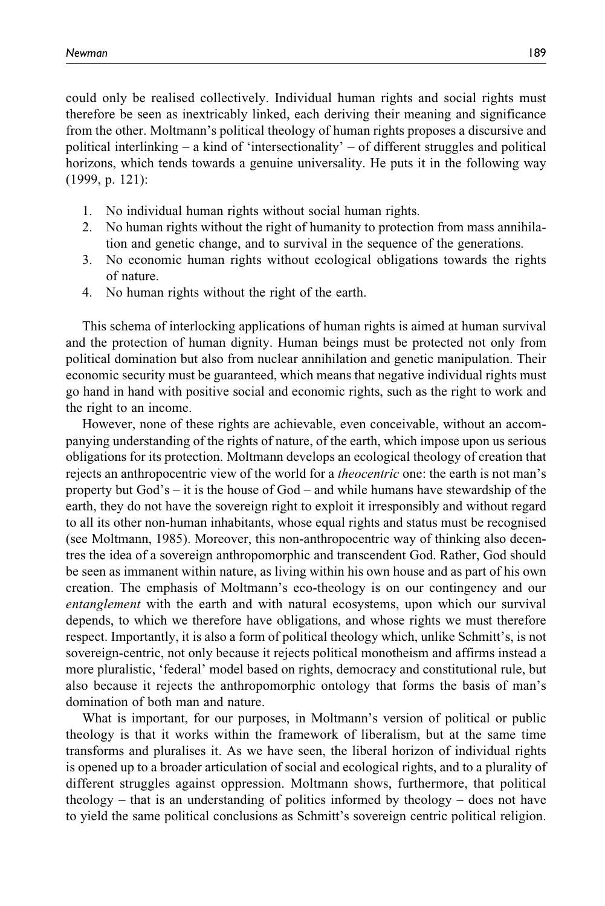could only be realised collectively. Individual human rights and social rights must therefore be seen as inextricably linked, each deriving their meaning and significance from the other. Moltmann's political theology of human rights proposes a discursive and political interlinking – a kind of 'intersectionality' – of different struggles and political horizons, which tends towards a genuine universality. He puts it in the following way ([1999](#page-16-0), p. 121):

- 1. No individual human rights without social human rights.
- 2. No human rights without the right of humanity to protection from mass annihilation and genetic change, and to survival in the sequence of the generations.
- 3. No economic human rights without ecological obligations towards the rights of nature.
- 4. No human rights without the right of the earth.

This schema of interlocking applications of human rights is aimed at human survival and the protection of human dignity. Human beings must be protected not only from political domination but also from nuclear annihilation and genetic manipulation. Their economic security must be guaranteed, which means that negative individual rights must go hand in hand with positive social and economic rights, such as the right to work and the right to an income.

However, none of these rights are achievable, even conceivable, without an accompanying understanding of the rights of nature, of the earth, which impose upon us serious obligations for its protection. Moltmann develops an ecological theology of creation that rejects an anthropocentric view of the world for a theocentric one: the earth is not man's property but God's – it is the house of God – and while humans have stewardship of the earth, they do not have the sovereign right to exploit it irresponsibly and without regard to all its other non-human inhabitants, whose equal rights and status must be recognised (see [Moltmann, 1985\)](#page-16-0). Moreover, this non-anthropocentric way of thinking also decentres the idea of a sovereign anthropomorphic and transcendent God. Rather, God should be seen as immanent within nature, as living within his own house and as part of his own creation. The emphasis of Moltmann's eco-theology is on our contingency and our entanglement with the earth and with natural ecosystems, upon which our survival depends, to which we therefore have obligations, and whose rights we must therefore respect. Importantly, it is also a form of political theology which, unlike Schmitt's, is not sovereign-centric, not only because it rejects political monotheism and affirms instead a more pluralistic, 'federal' model based on rights, democracy and constitutional rule, but also because it rejects the anthropomorphic ontology that forms the basis of man's domination of both man and nature.

What is important, for our purposes, in Moltmann's version of political or public theology is that it works within the framework of liberalism, but at the same time transforms and pluralises it. As we have seen, the liberal horizon of individual rights is opened up to a broader articulation of social and ecological rights, and to a plurality of different struggles against oppression. Moltmann shows, furthermore, that political theology – that is an understanding of politics informed by theology – does not have to yield the same political conclusions as Schmitt's sovereign centric political religion.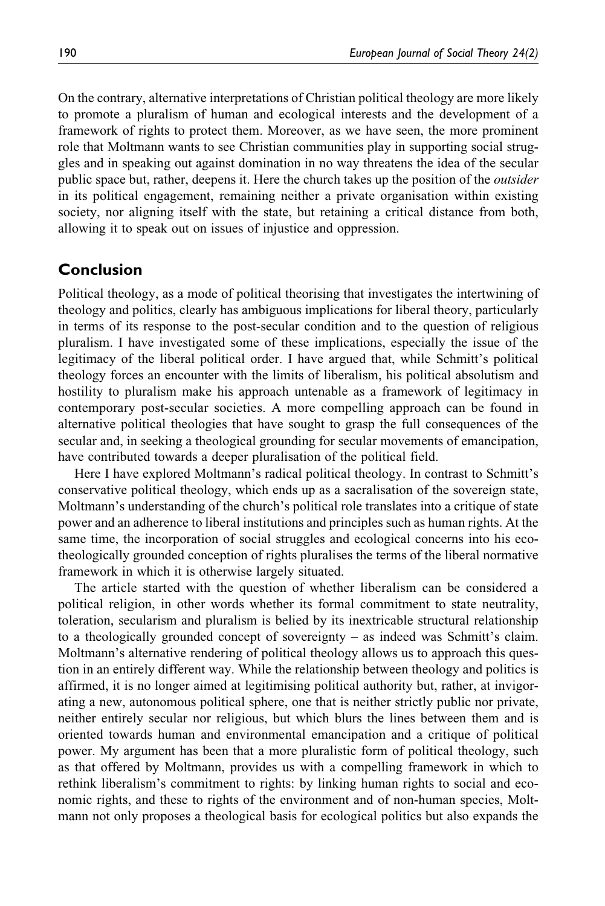On the contrary, alternative interpretations of Christian political theology are more likely to promote a pluralism of human and ecological interests and the development of a framework of rights to protect them. Moreover, as we have seen, the more prominent role that Moltmann wants to see Christian communities play in supporting social struggles and in speaking out against domination in no way threatens the idea of the secular public space but, rather, deepens it. Here the church takes up the position of the *outsider* in its political engagement, remaining neither a private organisation within existing society, nor aligning itself with the state, but retaining a critical distance from both, allowing it to speak out on issues of injustice and oppression.

## **Conclusion**

Political theology, as a mode of political theorising that investigates the intertwining of theology and politics, clearly has ambiguous implications for liberal theory, particularly in terms of its response to the post-secular condition and to the question of religious pluralism. I have investigated some of these implications, especially the issue of the legitimacy of the liberal political order. I have argued that, while Schmitt's political theology forces an encounter with the limits of liberalism, his political absolutism and hostility to pluralism make his approach untenable as a framework of legitimacy in contemporary post-secular societies. A more compelling approach can be found in alternative political theologies that have sought to grasp the full consequences of the secular and, in seeking a theological grounding for secular movements of emancipation, have contributed towards a deeper pluralisation of the political field.

Here I have explored Moltmann's radical political theology. In contrast to Schmitt's conservative political theology, which ends up as a sacralisation of the sovereign state, Moltmann's understanding of the church's political role translates into a critique of state power and an adherence to liberal institutions and principles such as human rights. At the same time, the incorporation of social struggles and ecological concerns into his ecotheologically grounded conception of rights pluralises the terms of the liberal normative framework in which it is otherwise largely situated.

The article started with the question of whether liberalism can be considered a political religion, in other words whether its formal commitment to state neutrality, toleration, secularism and pluralism is belied by its inextricable structural relationship to a theologically grounded concept of sovereignty – as indeed was Schmitt's claim. Moltmann's alternative rendering of political theology allows us to approach this question in an entirely different way. While the relationship between theology and politics is affirmed, it is no longer aimed at legitimising political authority but, rather, at invigorating a new, autonomous political sphere, one that is neither strictly public nor private, neither entirely secular nor religious, but which blurs the lines between them and is oriented towards human and environmental emancipation and a critique of political power. My argument has been that a more pluralistic form of political theology, such as that offered by Moltmann, provides us with a compelling framework in which to rethink liberalism's commitment to rights: by linking human rights to social and economic rights, and these to rights of the environment and of non-human species, Moltmann not only proposes a theological basis for ecological politics but also expands the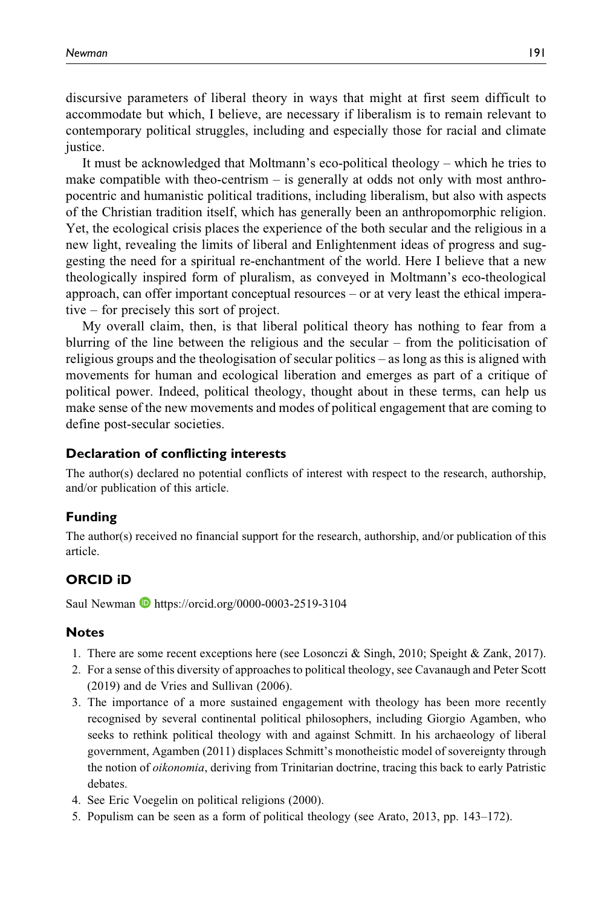<span id="page-14-0"></span>discursive parameters of liberal theory in ways that might at first seem difficult to accommodate but which, I believe, are necessary if liberalism is to remain relevant to contemporary political struggles, including and especially those for racial and climate justice.

It must be acknowledged that Moltmann's eco-political theology – which he tries to make compatible with theo-centrism  $-$  is generally at odds not only with most anthropocentric and humanistic political traditions, including liberalism, but also with aspects of the Christian tradition itself, which has generally been an anthropomorphic religion. Yet, the ecological crisis places the experience of the both secular and the religious in a new light, revealing the limits of liberal and Enlightenment ideas of progress and suggesting the need for a spiritual re-enchantment of the world. Here I believe that a new theologically inspired form of pluralism, as conveyed in Moltmann's eco-theological approach, can offer important conceptual resources – or at very least the ethical imperative – for precisely this sort of project.

My overall claim, then, is that liberal political theory has nothing to fear from a blurring of the line between the religious and the secular – from the politicisation of religious groups and the theologisation of secular politics – as long as this is aligned with movements for human and ecological liberation and emerges as part of a critique of political power. Indeed, political theology, thought about in these terms, can help us make sense of the new movements and modes of political engagement that are coming to define post-secular societies.

#### **Declaration of conflicting interests**

The author(s) declared no potential conflicts of interest with respect to the research, authorship, and/or publication of this article.

#### **Funding**

The author(s) received no financial support for the research, authorship, and/or publication of this article.

### **ORCID iD**

Saul Newman <https://orcid.org/0000-0003-2519-3104>

#### **Notes**

- 1. There are some recent exceptions here (see [Losonczi & Singh, 2010;](#page-16-0) [Speight & Zank, 2017](#page-17-0)).
- 2. For a sense of this diversity of approaches to political theology, see [Cavanaugh and Peter Scott](#page-15-0) [\(2019\)](#page-15-0) and [de Vries and Sullivan \(2006\).](#page-15-0)
- 3. The importance of a more sustained engagement with theology has been more recently recognised by several continental political philosophers, including Giorgio Agamben, who seeks to rethink political theology with and against Schmitt. In his archaeology of liberal government, [Agamben \(2011\)](#page-15-0) displaces Schmitt's monotheistic model of sovereignty through the notion of oikonomia, deriving from Trinitarian doctrine, tracing this back to early Patristic debates.
- 4. See Eric Voegelin on political religions [\(2000\)](#page-17-0).
- 5. Populism can be seen as a form of political theology (see [Arato, 2013,](#page-15-0) pp. 143–172).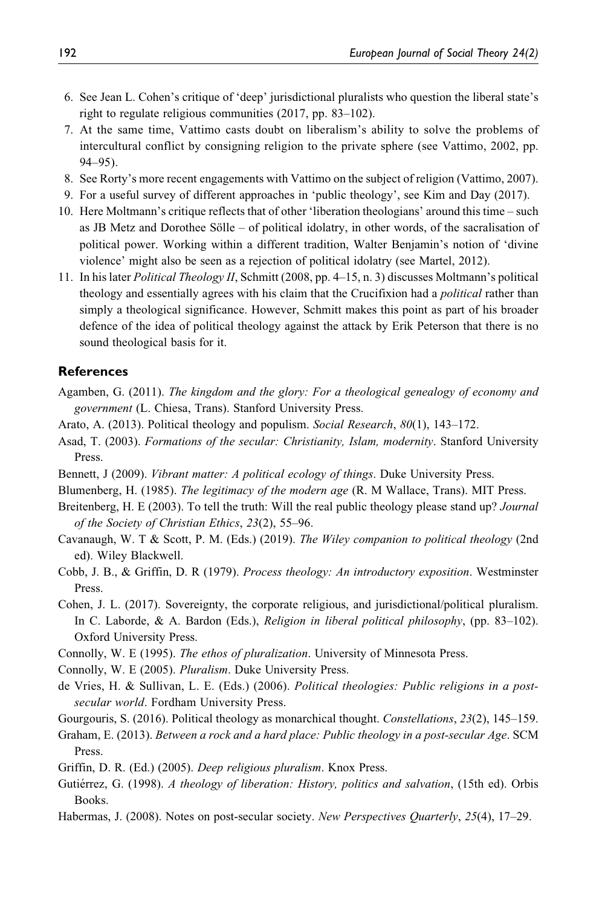- <span id="page-15-0"></span>6. See Jean L. Cohen's critique of 'deep' jurisdictional pluralists who question the liberal state's right to regulate religious communities (2017, pp. 83–102).
- 7. At the same time, Vattimo casts doubt on liberalism's ability to solve the problems of intercultural conflict by consigning religion to the private sphere (see [Vattimo, 2002](#page-17-0), pp. 94–95).
- 8. See Rorty's more recent engagements with Vattimo on the subject of religion (Vattimo, 2007).
- 9. For a useful survey of different approaches in 'public theology', see [Kim and Day \(2017\).](#page-16-0)
- 10. Here Moltmann's critique reflects that of other 'liberation theologians' around this time such as JB Metz and Dorothee Sölle – of political idolatry, in other words, of the sacralisation of political power. Working within a different tradition, Walter Benjamin's notion of 'divine violence' might also be seen as a rejection of political idolatry (see [Martel, 2012](#page-16-0)).
- 11. In his later Political Theology II, [Schmitt \(2008,](#page-17-0) pp. 4–15, n. 3) discusses Moltmann's political theology and essentially agrees with his claim that the Crucifixion had a *political* rather than simply a theological significance. However, Schmitt makes this point as part of his broader defence of the idea of political theology against the attack by Erik Peterson that there is no sound theological basis for it.

#### **References**

- Agamben, G. (2011). The kingdom and the glory: For a theological genealogy of economy and government (L. Chiesa, Trans). Stanford University Press.
- Arato, A. (2013). Political theology and populism. Social Research, 80(1), 143–172.
- Asad, T. (2003). Formations of the secular: Christianity, Islam, modernity. Stanford University Press.
- Bennett, J (2009). Vibrant matter: A political ecology of things. Duke University Press.
- Blumenberg, H. (1985). The legitimacy of the modern age (R. M Wallace, Trans). MIT Press.
- Breitenberg, H. E (2003). To tell the truth: Will the real public theology please stand up? *Journal* of the Society of Christian Ethics, 23(2), 55–96.
- Cavanaugh, W. T & Scott, P. M. (Eds.) (2019). The Wiley companion to political theology (2nd ed). Wiley Blackwell.
- Cobb, J. B., & Griffin, D. R (1979). Process theology: An introductory exposition. Westminster Press.
- Cohen, J. L. (2017). Sovereignty, the corporate religious, and jurisdictional/political pluralism. In C. Laborde, & A. Bardon (Eds.), Religion in liberal political philosophy, (pp. 83–102). Oxford University Press.
- Connolly, W. E (1995). The ethos of pluralization. University of Minnesota Press.
- Connolly, W. E (2005). Pluralism. Duke University Press.
- de Vries, H. & Sullivan, L. E. (Eds.) (2006). Political theologies: Public religions in a postsecular world. Fordham University Press.
- Gourgouris, S. (2016). Political theology as monarchical thought. Constellations, 23(2), 145–159.
- Graham, E. (2013). Between a rock and a hard place: Public theology in a post-secular Age. SCM Press.
- Griffin, D. R. (Ed.) (2005). Deep religious pluralism. Knox Press.
- Gutiérrez, G. (1998). A theology of liberation: History, politics and salvation, (15th ed). Orbis Books.
- Habermas, J. (2008). Notes on post-secular society. New Perspectives Quarterly, 25(4), 17–29.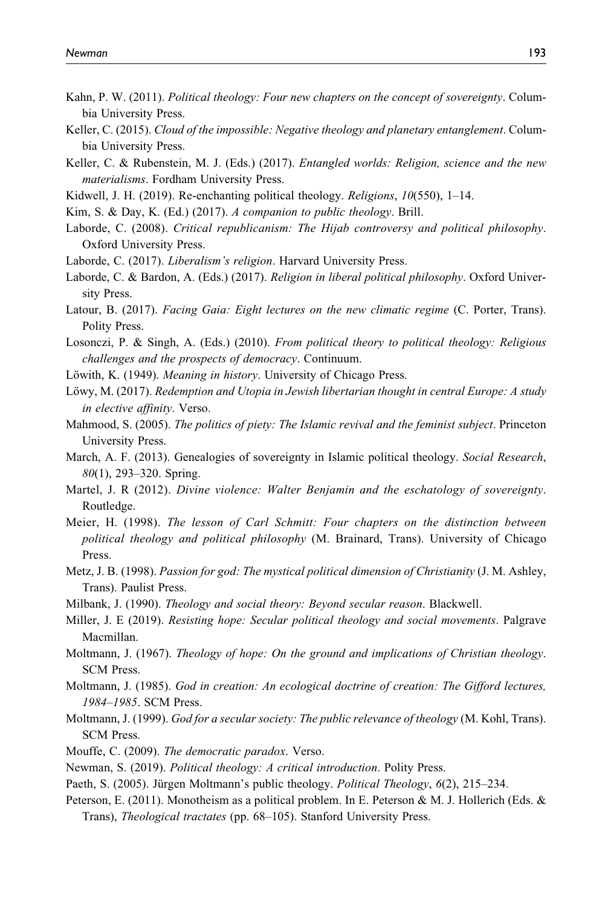- <span id="page-16-0"></span>Kahn, P. W. (2011). Political theology: Four new chapters on the concept of sovereignty. Columbia University Press.
- Keller, C. (2015). Cloud of the impossible: Negative theology and planetary entanglement. Columbia University Press.
- Keller, C. & Rubenstein, M. J. (Eds.) (2017). Entangled worlds: Religion, science and the new materialisms. Fordham University Press.
- Kidwell, J. H. (2019). Re-enchanting political theology. Religions, 10(550), 1–14.
- Kim, S. & Day, K. (Ed.) (2017). A companion to public theology. Brill.
- Laborde, C. (2008). Critical republicanism: The Hijab controversy and political philosophy. Oxford University Press.
- Laborde, C. (2017). Liberalism's religion. Harvard University Press.
- Laborde, C. & Bardon, A. (Eds.) (2017). Religion in liberal political philosophy. Oxford University Press.
- Latour, B. (2017). Facing Gaia: Eight lectures on the new climatic regime (C. Porter, Trans). Polity Press.
- Losonczi, P. & Singh, A. (Eds.) (2010). From political theory to political theology: Religious challenges and the prospects of democracy. Continuum.
- Löwith, K. (1949). Meaning in history. University of Chicago Press.
- Löwy, M. (2017). Redemption and Utopia in Jewish libertarian thought in central Europe: A study in elective affinity. Verso.
- Mahmood, S. (2005). The politics of piety: The Islamic revival and the feminist subject. Princeton University Press.
- March, A. F. (2013). Genealogies of sovereignty in Islamic political theology. Social Research, 80(1), 293–320. Spring.
- Martel, J. R (2012). Divine violence: Walter Benjamin and the eschatology of sovereignty. Routledge.
- Meier, H. (1998). The lesson of Carl Schmitt: Four chapters on the distinction between political theology and political philosophy (M. Brainard, Trans). University of Chicago Press.
- Metz, J. B. (1998). Passion for god: The mystical political dimension of Christianity (J. M. Ashley, Trans). Paulist Press.
- Milbank, J. (1990). Theology and social theory: Beyond secular reason. Blackwell.
- Miller, J. E (2019). Resisting hope: Secular political theology and social movements. Palgrave Macmillan.
- Moltmann, J. (1967). Theology of hope: On the ground and implications of Christian theology. SCM Press.
- Moltmann, J. (1985). God in creation: An ecological doctrine of creation: The Gifford lectures, 1984–1985. SCM Press.
- Moltmann, J. (1999). God for a secular society: The public relevance of theology (M. Kohl, Trans). SCM Press.
- Mouffe, C. (2009). The democratic paradox. Verso.
- Newman, S. (2019). Political theology: A critical introduction. Polity Press.
- Paeth, S. (2005). Jürgen Moltmann's public theology. Political Theology, 6(2), 215–234.
- Peterson, E. (2011). Monotheism as a political problem. In E. Peterson & M. J. Hollerich (Eds. & Trans), Theological tractates (pp. 68–105). Stanford University Press.